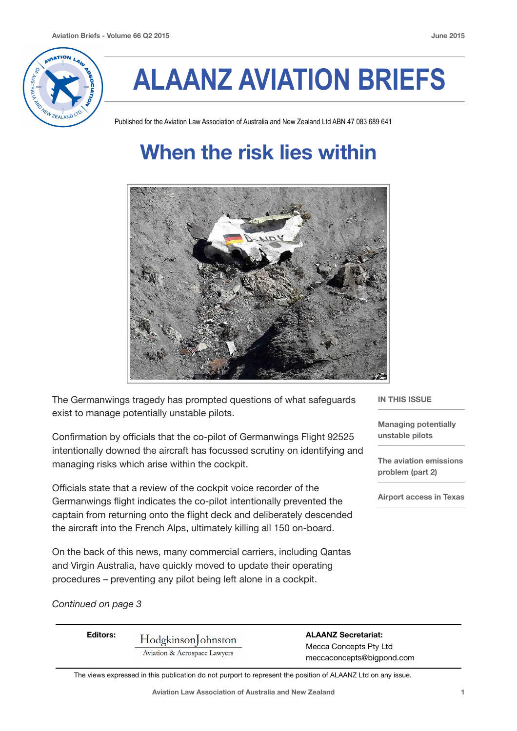

# **ALAANZ AVIATION BRIEFS**

Published for the Aviation Law Association of Australia and New Zealand Ltd ABN 47 083 689 641

## **When the risk lies within**



The Germanwings tragedy has prompted questions of what safeguards exist to manage potentially unstable pilots.

Confirmation by officials that the co-pilot of Germanwings Flight 92525 intentionally downed the aircraft has focussed scrutiny on identifying and managing risks which arise within the cockpit.

Officials state that a review of the cockpit voice recorder of the Germanwings flight indicates the co-pilot intentionally prevented the captain from returning onto the flight deck and deliberately descended the aircraft into the French Alps, ultimately killing all 150 on-board.

On the back of this news, many commercial carriers, including Qantas and Virgin Australia, have quickly moved to update their operating procedures – preventing any pilot being left alone in a cockpit.

#### **IN THIS ISSUE**

**Managing potentially unstable pilots** 

**The aviation emissions problem (part 2)** 

**Airport access in Texas**

#### *Continued on page 3*

| <b>Editors:</b> | Hodgkinson Johnston<br>Aviation & Aerospace Lawyers | <b>ALAANZ Secretariat:</b><br>Mecca Concepts Pty Ltd<br>meccaconcepts@bigpond.com |
|-----------------|-----------------------------------------------------|-----------------------------------------------------------------------------------|
|-----------------|-----------------------------------------------------|-----------------------------------------------------------------------------------|

The views expressed in this publication do not purport to represent the position of ALAANZ Ltd on any issue.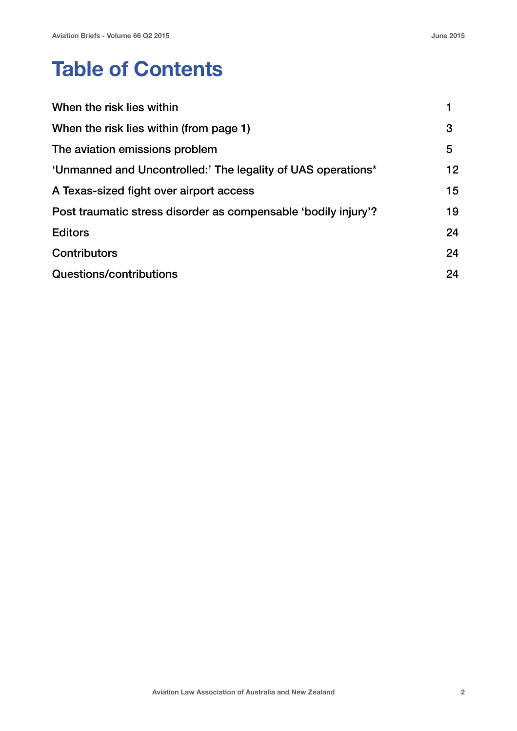## **Table of Contents**

| When the risk lies within                                      |    |
|----------------------------------------------------------------|----|
| When the risk lies within (from page 1)                        |    |
| The aviation emissions problem                                 |    |
| 'Unmanned and Uncontrolled:' The legality of UAS operations*   | 12 |
| A Texas-sized fight over airport access                        |    |
| Post traumatic stress disorder as compensable 'bodily injury'? |    |
| <b>Editors</b>                                                 | 24 |
| <b>Contributors</b>                                            | 24 |
| Questions/contributions                                        |    |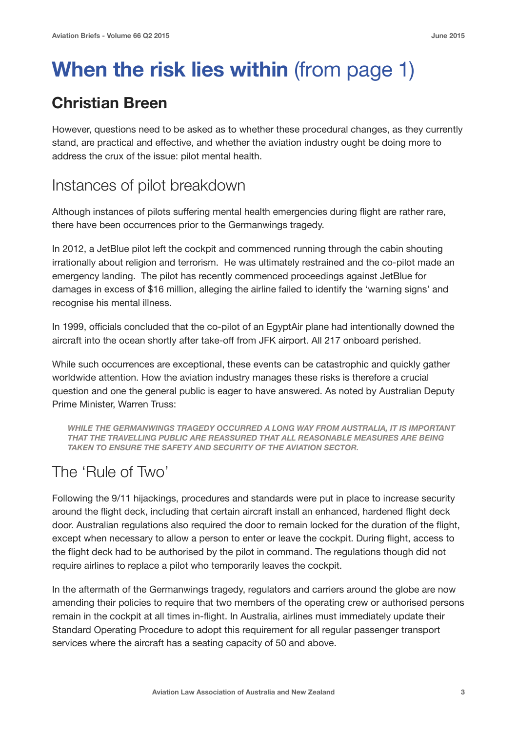## **When the risk lies within** (from page 1)

### **Christian Breen**

However, questions need to be asked as to whether these procedural changes, as they currently stand, are practical and effective, and whether the aviation industry ought be doing more to address the crux of the issue: pilot mental health.

#### Instances of pilot breakdown

Although instances of pilots suffering mental health emergencies during flight are rather rare, there have been occurrences prior to the Germanwings tragedy.

In 2012, a JetBlue pilot left the cockpit and commenced running through the cabin shouting irrationally about religion and terrorism. He was ultimately restrained and the co-pilot made an emergency landing. The pilot has recently commenced proceedings against JetBlue for damages in excess of \$16 million, alleging the airline failed to identify the 'warning signs' and recognise his mental illness.

In 1999, officials concluded that the co-pilot of an EgyptAir plane had intentionally downed the aircraft into the ocean shortly after take-off from JFK airport. All 217 onboard perished.

While such occurrences are exceptional, these events can be catastrophic and quickly gather worldwide attention. How the aviation industry manages these risks is therefore a crucial question and one the general public is eager to have answered. As noted by Australian Deputy Prime Minister, Warren Truss:

*WHILE THE GERMANWINGS TRAGEDY OCCURRED A LONG WAY FROM AUSTRALIA, IT IS IMPORTANT THAT THE TRAVELLING PUBLIC ARE REASSURED THAT ALL REASONABLE MEASURES ARE BEING TAKEN TO ENSURE THE SAFETY AND SECURITY OF THE AVIATION SECTOR.*

### The 'Rule of Two'

Following the 9/11 hijackings, procedures and standards were put in place to increase security around the flight deck, including that certain aircraft install an enhanced, hardened flight deck door. Australian regulations also required the door to remain locked for the duration of the flight, except when necessary to allow a person to enter or leave the cockpit. During flight, access to the flight deck had to be authorised by the pilot in command. The regulations though did not require airlines to replace a pilot who temporarily leaves the cockpit.

In the aftermath of the Germanwings tragedy, regulators and carriers around the globe are now amending their policies to require that two members of the operating crew or authorised persons remain in the cockpit at all times in-flight. In Australia, airlines must immediately update their Standard Operating Procedure to adopt this requirement for all regular passenger transport services where the aircraft has a seating capacity of 50 and above.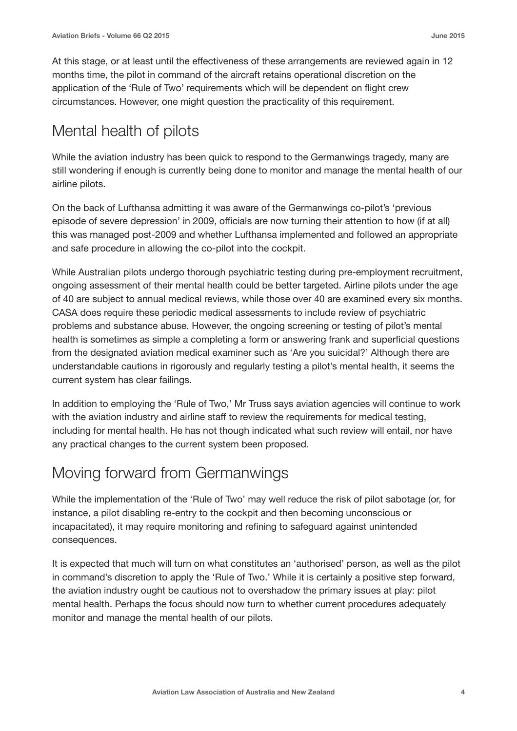At this stage, or at least until the effectiveness of these arrangements are reviewed again in 12 months time, the pilot in command of the aircraft retains operational discretion on the application of the 'Rule of Two' requirements which will be dependent on flight crew circumstances. However, one might question the practicality of this requirement.

### Mental health of pilots

While the aviation industry has been quick to respond to the Germanwings tragedy, many are still wondering if enough is currently being done to monitor and manage the mental health of our airline pilots.

On the back of Lufthansa admitting it was aware of the Germanwings co-pilot's 'previous episode of severe depression' in 2009, officials are now turning their attention to how (if at all) this was managed post-2009 and whether Lufthansa implemented and followed an appropriate and safe procedure in allowing the co-pilot into the cockpit.

While Australian pilots undergo thorough psychiatric testing during pre-employment recruitment, ongoing assessment of their mental health could be better targeted. Airline pilots under the age of 40 are subject to annual medical reviews, while those over 40 are examined every six months. CASA does require these periodic medical assessments to include review of psychiatric problems and substance abuse. However, the ongoing screening or testing of pilot's mental health is sometimes as simple a completing a form or answering frank and superficial questions from the designated aviation medical examiner such as 'Are you suicidal?' Although there are understandable cautions in rigorously and regularly testing a pilot's mental health, it seems the current system has clear failings.

In addition to employing the 'Rule of Two,' Mr Truss says aviation agencies will continue to work with the aviation industry and airline staff to review the requirements for medical testing, including for mental health. He has not though indicated what such review will entail, nor have any practical changes to the current system been proposed.

### Moving forward from Germanwings

While the implementation of the 'Rule of Two' may well reduce the risk of pilot sabotage (or, for instance, a pilot disabling re-entry to the cockpit and then becoming unconscious or incapacitated), it may require monitoring and refining to safeguard against unintended consequences.

It is expected that much will turn on what constitutes an 'authorised' person, as well as the pilot in command's discretion to apply the 'Rule of Two.' While it is certainly a positive step forward, the aviation industry ought be cautious not to overshadow the primary issues at play: pilot mental health. Perhaps the focus should now turn to whether current procedures adequately monitor and manage the mental health of our pilots.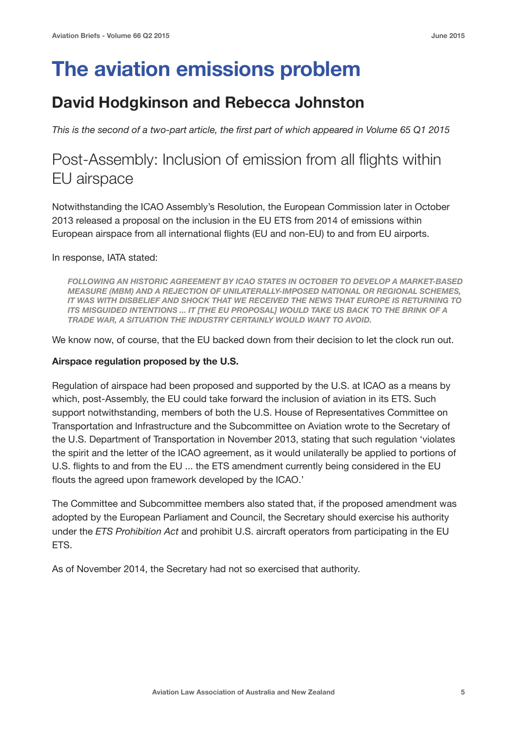## **The aviation emissions problem**

#### **David Hodgkinson and Rebecca Johnston**

*This is the second of a two-part article, the first part of which appeared in Volume 65 Q1 2015*

#### Post-Assembly: Inclusion of emission from all flights within EU airspace

Notwithstanding the ICAO Assembly's Resolution, the European Commission later in October 2013 released a proposal on the inclusion in the EU ETS from 2014 of emissions within European airspace from all international flights (EU and non-EU) to and from EU airports.

In response, IATA stated:

*FOLLOWING AN HISTORIC AGREEMENT BY ICAO STATES IN OCTOBER TO DEVELOP A MARKET-BASED MEASURE (MBM) AND A REJECTION OF UNILATERALLY-IMPOSED NATIONAL OR REGIONAL SCHEMES, IT WAS WITH DISBELIEF AND SHOCK THAT WE RECEIVED THE NEWS THAT EUROPE IS RETURNING TO ITS MISGUIDED INTENTIONS ... IT [THE EU PROPOSAL] WOULD TAKE US BACK TO THE BRINK OF A TRADE WAR, A SITUATION THE INDUSTRY CERTAINLY WOULD WANT TO AVOID.* 

We know now, of course, that the EU backed down from their decision to let the clock run out.

#### **Airspace regulation proposed by the U.S.**

Regulation of airspace had been proposed and supported by the U.S. at ICAO as a means by which, post-Assembly, the EU could take forward the inclusion of aviation in its ETS. Such support notwithstanding, members of both the U.S. House of Representatives Committee on Transportation and Infrastructure and the Subcommittee on Aviation wrote to the Secretary of the U.S. Department of Transportation in November 2013, stating that such regulation 'violates the spirit and the letter of the ICAO agreement, as it would unilaterally be applied to portions of U.S. flights to and from the EU ... the ETS amendment currently being considered in the EU flouts the agreed upon framework developed by the ICAO.'

The Committee and Subcommittee members also stated that, if the proposed amendment was adopted by the European Parliament and Council, the Secretary should exercise his authority under the *ETS Prohibition Act* and prohibit U.S. aircraft operators from participating in the EU ETS.

As of November 2014, the Secretary had not so exercised that authority.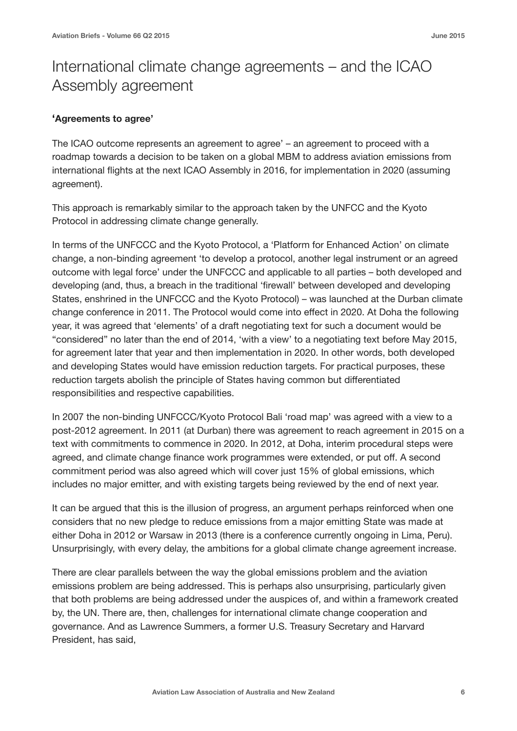### International climate change agreements – and the ICAO Assembly agreement

#### **'Agreements to agree'**

The ICAO outcome represents an agreement to agree' – an agreement to proceed with a roadmap towards a decision to be taken on a global MBM to address aviation emissions from international flights at the next ICAO Assembly in 2016, for implementation in 2020 (assuming agreement).

This approach is remarkably similar to the approach taken by the UNFCC and the Kyoto Protocol in addressing climate change generally.

In terms of the UNFCCC and the Kyoto Protocol, a 'Platform for Enhanced Action' on climate change, a non-binding agreement 'to develop a protocol, another legal instrument or an agreed outcome with legal force' under the UNFCCC and applicable to all parties – both developed and developing (and, thus, a breach in the traditional 'firewall' between developed and developing States, enshrined in the UNFCCC and the Kyoto Protocol) – was launched at the Durban climate change conference in 2011. The Protocol would come into effect in 2020. At Doha the following year, it was agreed that 'elements' of a draft negotiating text for such a document would be "considered" no later than the end of 2014, 'with a view' to a negotiating text before May 2015, for agreement later that year and then implementation in 2020. In other words, both developed and developing States would have emission reduction targets. For practical purposes, these reduction targets abolish the principle of States having common but differentiated responsibilities and respective capabilities.

In 2007 the non-binding UNFCCC/Kyoto Protocol Bali 'road map' was agreed with a view to a post-2012 agreement. In 2011 (at Durban) there was agreement to reach agreement in 2015 on a text with commitments to commence in 2020. In 2012, at Doha, interim procedural steps were agreed, and climate change finance work programmes were extended, or put off. A second commitment period was also agreed which will cover just 15% of global emissions, which includes no major emitter, and with existing targets being reviewed by the end of next year.

It can be argued that this is the illusion of progress, an argument perhaps reinforced when one considers that no new pledge to reduce emissions from a major emitting State was made at either Doha in 2012 or Warsaw in 2013 (there is a conference currently ongoing in Lima, Peru). Unsurprisingly, with every delay, the ambitions for a global climate change agreement increase.

There are clear parallels between the way the global emissions problem and the aviation emissions problem are being addressed. This is perhaps also unsurprising, particularly given that both problems are being addressed under the auspices of, and within a framework created by, the UN. There are, then, challenges for international climate change cooperation and governance. And as Lawrence Summers, a former U.S. Treasury Secretary and Harvard President, has said,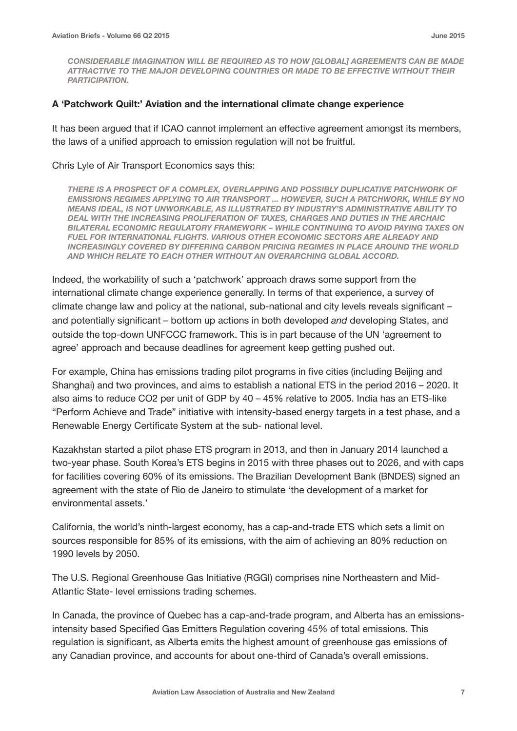*CONSIDERABLE IMAGINATION WILL BE REQUIRED AS TO HOW [GLOBAL] AGREEMENTS CAN BE MADE ATTRACTIVE TO THE MAJOR DEVELOPING COUNTRIES OR MADE TO BE EFFECTIVE WITHOUT THEIR PARTICIPATION.* 

#### **A 'Patchwork Quilt:' Aviation and the international climate change experience**

It has been argued that if ICAO cannot implement an effective agreement amongst its members, the laws of a unified approach to emission regulation will not be fruitful.

#### Chris Lyle of Air Transport Economics says this:

*THERE IS A PROSPECT OF A COMPLEX, OVERLAPPING AND POSSIBLY DUPLICATIVE PATCHWORK OF EMISSIONS REGIMES APPLYING TO AIR TRANSPORT ... HOWEVER, SUCH A PATCHWORK, WHILE BY NO MEANS IDEAL, IS NOT UNWORKABLE, AS ILLUSTRATED BY INDUSTRY'S ADMINISTRATIVE ABILITY TO DEAL WITH THE INCREASING PROLIFERATION OF TAXES, CHARGES AND DUTIES IN THE ARCHAIC BILATERAL ECONOMIC REGULATORY FRAMEWORK – WHILE CONTINUING TO AVOID PAYING TAXES ON FUEL FOR INTERNATIONAL FLIGHTS. VARIOUS OTHER ECONOMIC SECTORS ARE ALREADY AND INCREASINGLY COVERED BY DIFFERING CARBON PRICING REGIMES IN PLACE AROUND THE WORLD AND WHICH RELATE TO EACH OTHER WITHOUT AN OVERARCHING GLOBAL ACCORD.* 

Indeed, the workability of such a 'patchwork' approach draws some support from the international climate change experience generally. In terms of that experience, a survey of climate change law and policy at the national, sub-national and city levels reveals significant – and potentially significant – bottom up actions in both developed *and* developing States, and outside the top-down UNFCCC framework. This is in part because of the UN 'agreement to agree' approach and because deadlines for agreement keep getting pushed out.

For example, China has emissions trading pilot programs in five cities (including Beijing and Shanghai) and two provinces, and aims to establish a national ETS in the period 2016 – 2020. It also aims to reduce CO2 per unit of GDP by 40 – 45% relative to 2005. India has an ETS-like "Perform Achieve and Trade" initiative with intensity-based energy targets in a test phase, and a Renewable Energy Certificate System at the sub- national level.

Kazakhstan started a pilot phase ETS program in 2013, and then in January 2014 launched a two-year phase. South Korea's ETS begins in 2015 with three phases out to 2026, and with caps for facilities covering 60% of its emissions. The Brazilian Development Bank (BNDES) signed an agreement with the state of Rio de Janeiro to stimulate 'the development of a market for environmental assets.'

California, the world's ninth-largest economy, has a cap-and-trade ETS which sets a limit on sources responsible for 85% of its emissions, with the aim of achieving an 80% reduction on 1990 levels by 2050.

The U.S. Regional Greenhouse Gas Initiative (RGGI) comprises nine Northeastern and Mid-Atlantic State- level emissions trading schemes.

In Canada, the province of Quebec has a cap-and-trade program, and Alberta has an emissionsintensity based Specified Gas Emitters Regulation covering 45% of total emissions. This regulation is significant, as Alberta emits the highest amount of greenhouse gas emissions of any Canadian province, and accounts for about one-third of Canada's overall emissions.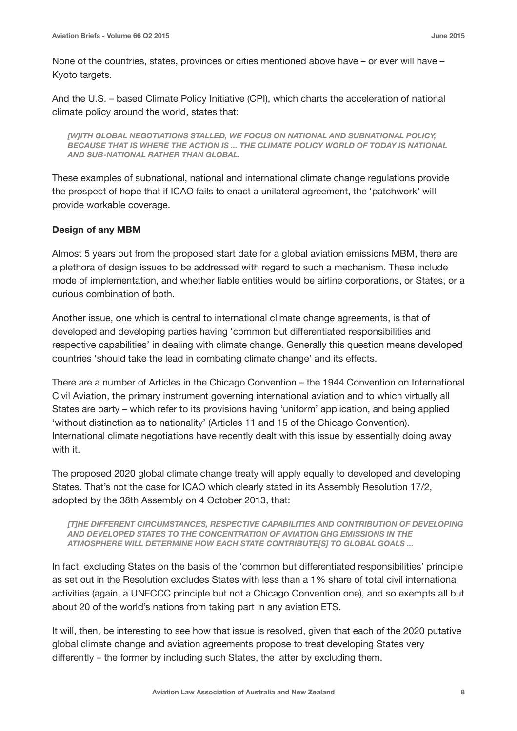None of the countries, states, provinces or cities mentioned above have – or ever will have – Kyoto targets.

And the U.S. – based Climate Policy Initiative (CPI), which charts the acceleration of national climate policy around the world, states that:

*[W]ITH GLOBAL NEGOTIATIONS STALLED, WE FOCUS ON NATIONAL AND SUBNATIONAL POLICY, BECAUSE THAT IS WHERE THE ACTION IS ... THE CLIMATE POLICY WORLD OF TODAY IS NATIONAL AND SUB-NATIONAL RATHER THAN GLOBAL.* 

These examples of subnational, national and international climate change regulations provide the prospect of hope that if ICAO fails to enact a unilateral agreement, the 'patchwork' will provide workable coverage.

#### **Design of any MBM**

Almost 5 years out from the proposed start date for a global aviation emissions MBM, there are a plethora of design issues to be addressed with regard to such a mechanism. These include mode of implementation, and whether liable entities would be airline corporations, or States, or a curious combination of both.

Another issue, one which is central to international climate change agreements, is that of developed and developing parties having 'common but differentiated responsibilities and respective capabilities' in dealing with climate change. Generally this question means developed countries 'should take the lead in combating climate change' and its effects.

There are a number of Articles in the Chicago Convention – the 1944 Convention on International Civil Aviation, the primary instrument governing international aviation and to which virtually all States are party – which refer to its provisions having 'uniform' application, and being applied 'without distinction as to nationality' (Articles 11 and 15 of the Chicago Convention). International climate negotiations have recently dealt with this issue by essentially doing away with it.

The proposed 2020 global climate change treaty will apply equally to developed and developing States. That's not the case for ICAO which clearly stated in its Assembly Resolution 17/2, adopted by the 38th Assembly on 4 October 2013, that:

*[T]HE DIFFERENT CIRCUMSTANCES, RESPECTIVE CAPABILITIES AND CONTRIBUTION OF DEVELOPING AND DEVELOPED STATES TO THE CONCENTRATION OF AVIATION GHG EMISSIONS IN THE ATMOSPHERE WILL DETERMINE HOW EACH STATE CONTRIBUTE[S] TO GLOBAL GOALS ...* 

In fact, excluding States on the basis of the 'common but differentiated responsibilities' principle as set out in the Resolution excludes States with less than a 1% share of total civil international activities (again, a UNFCCC principle but not a Chicago Convention one), and so exempts all but about 20 of the world's nations from taking part in any aviation ETS.

It will, then, be interesting to see how that issue is resolved, given that each of the 2020 putative global climate change and aviation agreements propose to treat developing States very differently – the former by including such States, the latter by excluding them.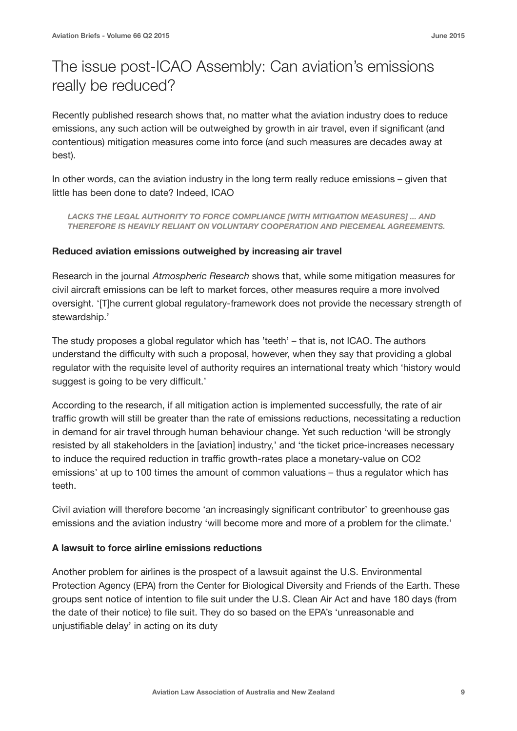### The issue post-ICAO Assembly: Can aviation's emissions really be reduced?

Recently published research shows that, no matter what the aviation industry does to reduce emissions, any such action will be outweighed by growth in air travel, even if significant (and contentious) mitigation measures come into force (and such measures are decades away at best).

In other words, can the aviation industry in the long term really reduce emissions – given that little has been done to date? Indeed, ICAO

LACKS THE LEGAL AUTHORITY TO FORCE COMPLIANCE IWITH MITIGATION MEASURESI ... AND *THEREFORE IS HEAVILY RELIANT ON VOLUNTARY COOPERATION AND PIECEMEAL AGREEMENTS.* 

#### **Reduced aviation emissions outweighed by increasing air travel**

Research in the journal *Atmospheric Research* shows that, while some mitigation measures for civil aircraft emissions can be left to market forces, other measures require a more involved oversight. '[T]he current global regulatory-framework does not provide the necessary strength of stewardship.'

The study proposes a global regulator which has 'teeth' – that is, not ICAO. The authors understand the difficulty with such a proposal, however, when they say that providing a global regulator with the requisite level of authority requires an international treaty which 'history would suggest is going to be very difficult.'

According to the research, if all mitigation action is implemented successfully, the rate of air traffic growth will still be greater than the rate of emissions reductions, necessitating a reduction in demand for air travel through human behaviour change. Yet such reduction 'will be strongly resisted by all stakeholders in the [aviation] industry,' and 'the ticket price-increases necessary to induce the required reduction in traffic growth-rates place a monetary-value on CO2 emissions' at up to 100 times the amount of common valuations – thus a regulator which has teeth.

Civil aviation will therefore become 'an increasingly significant contributor' to greenhouse gas emissions and the aviation industry 'will become more and more of a problem for the climate.'

#### **A lawsuit to force airline emissions reductions**

Another problem for airlines is the prospect of a lawsuit against the U.S. Environmental Protection Agency (EPA) from the Center for Biological Diversity and Friends of the Earth. These groups sent notice of intention to file suit under the U.S. Clean Air Act and have 180 days (from the date of their notice) to file suit. They do so based on the EPA's 'unreasonable and unjustifiable delay' in acting on its duty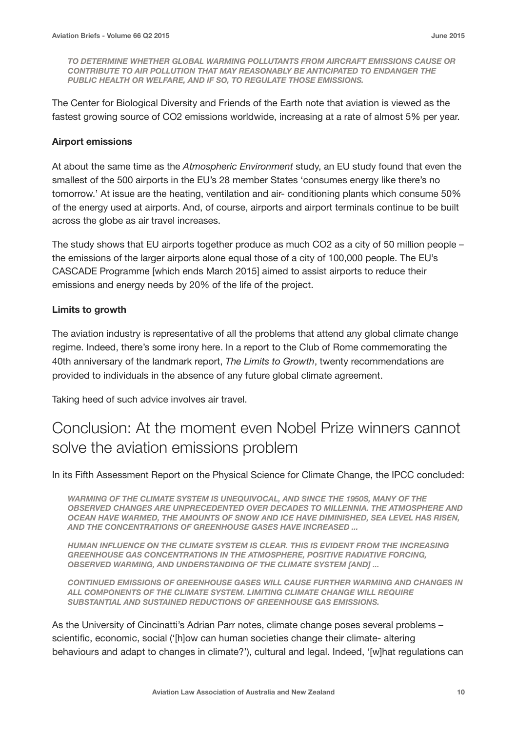*TO DETERMINE WHETHER GLOBAL WARMING POLLUTANTS FROM AIRCRAFT EMISSIONS CAUSE OR CONTRIBUTE TO AIR POLLUTION THAT MAY REASONABLY BE ANTICIPATED TO ENDANGER THE PUBLIC HEALTH OR WELFARE, AND IF SO, TO REGULATE THOSE EMISSIONS.* 

The Center for Biological Diversity and Friends of the Earth note that aviation is viewed as the fastest growing source of CO2 emissions worldwide, increasing at a rate of almost 5% per year.

#### **Airport emissions**

At about the same time as the *Atmospheric Environment* study, an EU study found that even the smallest of the 500 airports in the EU's 28 member States 'consumes energy like there's no tomorrow.' At issue are the heating, ventilation and air- conditioning plants which consume 50% of the energy used at airports. And, of course, airports and airport terminals continue to be built across the globe as air travel increases.

The study shows that EU airports together produce as much CO2 as a city of 50 million people – the emissions of the larger airports alone equal those of a city of 100,000 people. The EU's CASCADE Programme [which ends March 2015] aimed to assist airports to reduce their emissions and energy needs by 20% of the life of the project.

#### **Limits to growth**

The aviation industry is representative of all the problems that attend any global climate change regime. Indeed, there's some irony here. In a report to the Club of Rome commemorating the 40th anniversary of the landmark report, *The Limits to Growth*, twenty recommendations are provided to individuals in the absence of any future global climate agreement.

Taking heed of such advice involves air travel.

#### Conclusion: At the moment even Nobel Prize winners cannot solve the aviation emissions problem

In its Fifth Assessment Report on the Physical Science for Climate Change, the IPCC concluded:

*WARMING OF THE CLIMATE SYSTEM IS UNEQUIVOCAL, AND SINCE THE 1950S, MANY OF THE*  **OBSERVED CHANGES ARE UNPRECEDENTED OVER DECADES TO MILLENNIA. THE ATMOSPHERE AND** *OCEAN HAVE WARMED, THE AMOUNTS OF SNOW AND ICE HAVE DIMINISHED, SEA LEVEL HAS RISEN, AND THE CONCENTRATIONS OF GREENHOUSE GASES HAVE INCREASED ...* 

*HUMAN INFLUENCE ON THE CLIMATE SYSTEM IS CLEAR. THIS IS EVIDENT FROM THE INCREASING GREENHOUSE GAS CONCENTRATIONS IN THE ATMOSPHERE, POSITIVE RADIATIVE FORCING, OBSERVED WARMING, AND UNDERSTANDING OF THE CLIMATE SYSTEM [AND] ...* 

*CONTINUED EMISSIONS OF GREENHOUSE GASES WILL CAUSE FURTHER WARMING AND CHANGES IN ALL COMPONENTS OF THE CLIMATE SYSTEM. LIMITING CLIMATE CHANGE WILL REQUIRE SUBSTANTIAL AND SUSTAINED REDUCTIONS OF GREENHOUSE GAS EMISSIONS.* 

As the University of Cincinatti's Adrian Parr notes, climate change poses several problems – scientific, economic, social ('[h]ow can human societies change their climate- altering behaviours and adapt to changes in climate?'), cultural and legal. Indeed, '[w]hat regulations can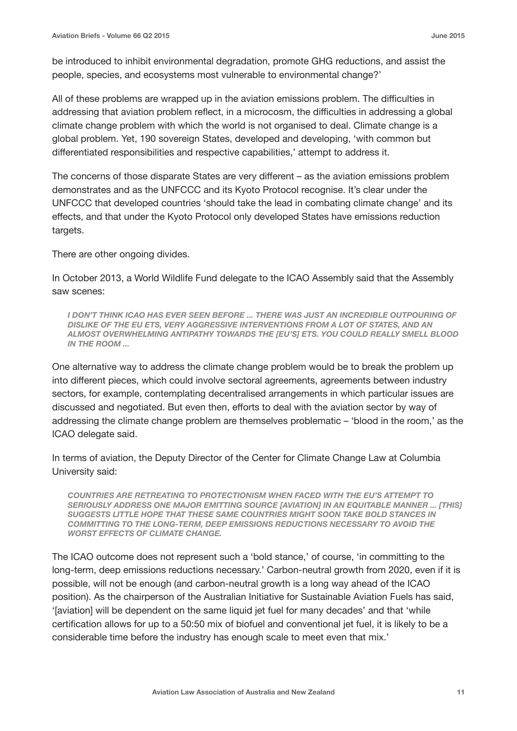be introduced to inhibit environmental degradation, promote GHG reductions, and assist the people, species, and ecosystems most vulnerable to environmental change?'

All of these problems are wrapped up in the aviation emissions problem. The difficulties in addressing that aviation problem reflect, in a microcosm, the difficulties in addressing a global climate change problem with which the world is not organised to deal. Climate change is a global problem. Yet, 190 sovereign States, developed and developing, 'with common but differentiated responsibilities and respective capabilities,' attempt to address it.

The concerns of those disparate States are very different – as the aviation emissions problem demonstrates and as the UNFCCC and its Kyoto Protocol recognise. It's clear under the UNFCCC that developed countries 'should take the lead in combating climate change' and its effects, and that under the Kyoto Protocol only developed States have emissions reduction targets.

There are other ongoing divides.

In October 2013, a World Wildlife Fund delegate to the ICAO Assembly said that the Assembly saw scenes:

*I DON'T THINK ICAO HAS EVER SEEN BEFORE ... THERE WAS JUST AN INCREDIBLE OUTPOURING OF DISLIKE OF THE EU ETS, VERY AGGRESSIVE INTERVENTIONS FROM A LOT OF STATES, AND AN ALMOST OVERWHELMING ANTIPATHY TOWARDS THE [EU'S] ETS. YOU COULD REALLY SMELL BLOOD IN THE ROOM ...* 

One alternative way to address the climate change problem would be to break the problem up into different pieces, which could involve sectoral agreements, agreements between industry sectors, for example, contemplating decentralised arrangements in which particular issues are discussed and negotiated. But even then, efforts to deal with the aviation sector by way of addressing the climate change problem are themselves problematic – 'blood in the room,' as the ICAO delegate said.

In terms of aviation, the Deputy Director of the Center for Climate Change Law at Columbia University said:

*COUNTRIES ARE RETREATING TO PROTECTIONISM WHEN FACED WITH THE EU'S ATTEMPT TO SERIOUSLY ADDRESS ONE MAJOR EMITTING SOURCE [AVIATION] IN AN EQUITABLE MANNER ... [THIS] SUGGESTS LITTLE HOPE THAT THESE SAME COUNTRIES MIGHT SOON TAKE BOLD STANCES IN COMMITTING TO THE LONG-TERM, DEEP EMISSIONS REDUCTIONS NECESSARY TO AVOID THE WORST EFFECTS OF CLIMATE CHANGE.* 

The ICAO outcome does not represent such a 'bold stance,' of course, 'in committing to the long-term, deep emissions reductions necessary.' Carbon-neutral growth from 2020, even if it is possible, will not be enough (and carbon-neutral growth is a long way ahead of the ICAO position). As the chairperson of the Australian Initiative for Sustainable Aviation Fuels has said, '[aviation] will be dependent on the same liquid jet fuel for many decades' and that 'while certification allows for up to a 50:50 mix of biofuel and conventional jet fuel, it is likely to be a considerable time before the industry has enough scale to meet even that mix.'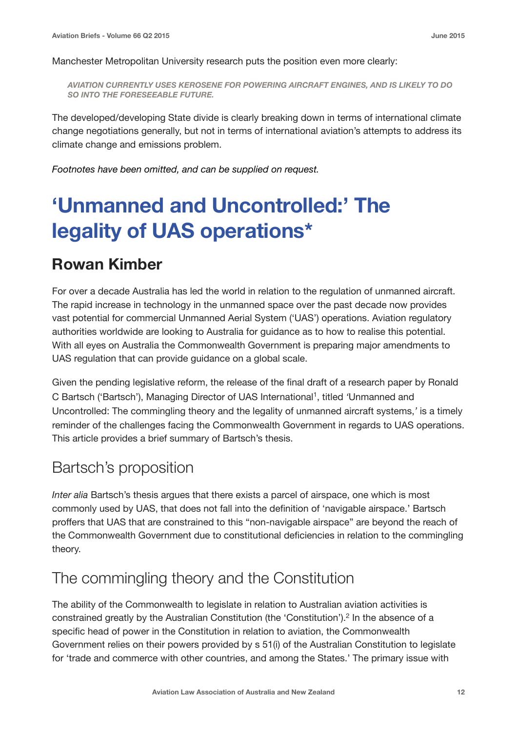Manchester Metropolitan University research puts the position even more clearly:

*AVIATION CURRENTLY USES KEROSENE FOR POWERING AIRCRAFT ENGINES, AND IS LIKELY TO DO SO INTO THE FORESEEABLE FUTURE.* 

The developed/developing State divide is clearly breaking down in terms of international climate change negotiations generally, but not in terms of international aviation's attempts to address its climate change and emissions problem.

*Footnotes have been omitted, and can be supplied on request.* 

## **'Unmanned and Uncontrolled:' The legality of UAS operations\***

#### **Rowan Kimber**

For over a decade Australia has led the world in relation to the regulation of unmanned aircraft. The rapid increase in technology in the unmanned space over the past decade now provides vast potential for commercial Unmanned Aerial System ('UAS') operations. Aviation regulatory authorities worldwide are looking to Australia for guidance as to how to realise this potential. With all eyes on Australia the Commonwealth Government is preparing major amendments to UAS regulation that can provide guidance on a global scale.

Given the pending legislative reform, the release of the final draft of a research paper by Ronald C Bartsch ('Bartsch'), Managing Director of UAS International1, titled *'*Unmanned and Uncontrolled: The commingling theory and the legality of unmanned aircraft systems,*'* is a timely reminder of the challenges facing the Commonwealth Government in regards to UAS operations. This article provides a brief summary of Bartsch's thesis.

#### Bartsch's proposition

*Inter alia* Bartsch's thesis argues that there exists a parcel of airspace, one which is most commonly used by UAS, that does not fall into the definition of 'navigable airspace.' Bartsch proffers that UAS that are constrained to this "non-navigable airspace" are beyond the reach of the Commonwealth Government due to constitutional deficiencies in relation to the commingling theory.

#### The commingling theory and the Constitution

The ability of the Commonwealth to legislate in relation to Australian aviation activities is constrained greatly by the Australian Constitution (the 'Constitution').2 In the absence of a specific head of power in the Constitution in relation to aviation, the Commonwealth Government relies on their powers provided by s 51(i) of the Australian Constitution to legislate for 'trade and commerce with other countries, and among the States.' The primary issue with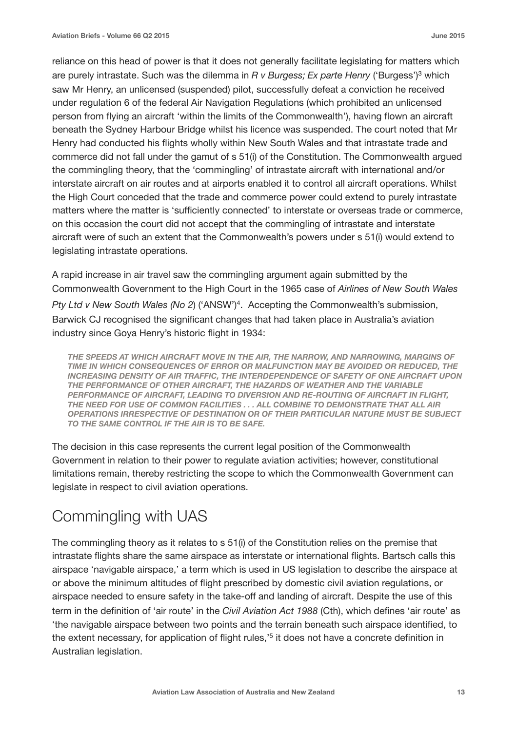reliance on this head of power is that it does not generally facilitate legislating for matters which are purely intrastate. Such was the dilemma in *R v Burgess; Ex parte Henry* ('Burgess')3 which saw Mr Henry, an unlicensed (suspended) pilot, successfully defeat a conviction he received under regulation 6 of the federal Air Navigation Regulations (which prohibited an unlicensed person from flying an aircraft 'within the limits of the Commonwealth'), having flown an aircraft beneath the Sydney Harbour Bridge whilst his licence was suspended. The court noted that Mr Henry had conducted his flights wholly within New South Wales and that intrastate trade and commerce did not fall under the gamut of s 51(i) of the Constitution. The Commonwealth argued the commingling theory, that the 'commingling' of intrastate aircraft with international and/or interstate aircraft on air routes and at airports enabled it to control all aircraft operations. Whilst the High Court conceded that the trade and commerce power could extend to purely intrastate matters where the matter is 'sufficiently connected' to interstate or overseas trade or commerce, on this occasion the court did not accept that the commingling of intrastate and interstate aircraft were of such an extent that the Commonwealth's powers under s 51(i) would extend to legislating intrastate operations.

A rapid increase in air travel saw the commingling argument again submitted by the Commonwealth Government to the High Court in the 1965 case of *Airlines of New South Wales Pty Ltd v New South Wales (No 2*) ('ANSW')4. Accepting the Commonwealth's submission, Barwick CJ recognised the significant changes that had taken place in Australia's aviation industry since Goya Henry's historic flight in 1934:

*THE SPEEDS AT WHICH AIRCRAFT MOVE IN THE AIR, THE NARROW, AND NARROWING, MARGINS OF TIME IN WHICH CONSEQUENCES OF ERROR OR MALFUNCTION MAY BE AVOIDED OR REDUCED, THE INCREASING DENSITY OF AIR TRAFFIC, THE INTERDEPENDENCE OF SAFETY OF ONE AIRCRAFT UPON THE PERFORMANCE OF OTHER AIRCRAFT, THE HAZARDS OF WEATHER AND THE VARIABLE PERFORMANCE OF AIRCRAFT, LEADING TO DIVERSION AND RE-ROUTING OF AIRCRAFT IN FLIGHT, THE NEED FOR USE OF COMMON FACILITIES . . . ALL COMBINE TO DEMONSTRATE THAT ALL AIR OPERATIONS IRRESPECTIVE OF DESTINATION OR OF THEIR PARTICULAR NATURE MUST BE SUBJECT TO THE SAME CONTROL IF THE AIR IS TO BE SAFE.* 

The decision in this case represents the current legal position of the Commonwealth Government in relation to their power to regulate aviation activities; however, constitutional limitations remain, thereby restricting the scope to which the Commonwealth Government can legislate in respect to civil aviation operations.

### Commingling with UAS

The commingling theory as it relates to s 51(i) of the Constitution relies on the premise that intrastate flights share the same airspace as interstate or international flights. Bartsch calls this airspace 'navigable airspace,' a term which is used in US legislation to describe the airspace at or above the minimum altitudes of flight prescribed by domestic civil aviation regulations, or airspace needed to ensure safety in the take-off and landing of aircraft. Despite the use of this term in the definition of 'air route' in the *Civil Aviation Act 1988* (Cth), which defines 'air route' as 'the navigable airspace between two points and the terrain beneath such airspace identified, to the extent necessary, for application of flight rules,<sup>15</sup> it does not have a concrete definition in Australian legislation.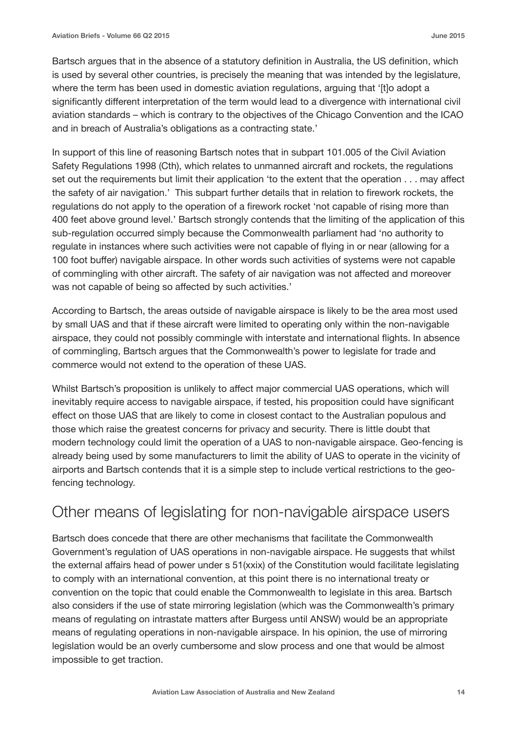Bartsch argues that in the absence of a statutory definition in Australia, the US definition, which is used by several other countries, is precisely the meaning that was intended by the legislature, where the term has been used in domestic aviation regulations, arguing that '[t]o adopt a significantly different interpretation of the term would lead to a divergence with international civil aviation standards – which is contrary to the objectives of the Chicago Convention and the ICAO and in breach of Australia's obligations as a contracting state.'

In support of this line of reasoning Bartsch notes that in subpart 101.005 of the Civil Aviation Safety Regulations 1998 (Cth), which relates to unmanned aircraft and rockets, the regulations set out the requirements but limit their application 'to the extent that the operation . . . may affect the safety of air navigation.' This subpart further details that in relation to firework rockets, the regulations do not apply to the operation of a firework rocket 'not capable of rising more than 400 feet above ground level.' Bartsch strongly contends that the limiting of the application of this sub-regulation occurred simply because the Commonwealth parliament had 'no authority to regulate in instances where such activities were not capable of flying in or near (allowing for a 100 foot buffer) navigable airspace. In other words such activities of systems were not capable of commingling with other aircraft. The safety of air navigation was not affected and moreover was not capable of being so affected by such activities.'

According to Bartsch, the areas outside of navigable airspace is likely to be the area most used by small UAS and that if these aircraft were limited to operating only within the non-navigable airspace, they could not possibly commingle with interstate and international flights. In absence of commingling, Bartsch argues that the Commonwealth's power to legislate for trade and commerce would not extend to the operation of these UAS.

Whilst Bartsch's proposition is unlikely to affect major commercial UAS operations, which will inevitably require access to navigable airspace, if tested, his proposition could have significant effect on those UAS that are likely to come in closest contact to the Australian populous and those which raise the greatest concerns for privacy and security. There is little doubt that modern technology could limit the operation of a UAS to non-navigable airspace. Geo-fencing is already being used by some manufacturers to limit the ability of UAS to operate in the vicinity of airports and Bartsch contends that it is a simple step to include vertical restrictions to the geofencing technology.

#### Other means of legislating for non-navigable airspace users

Bartsch does concede that there are other mechanisms that facilitate the Commonwealth Government's regulation of UAS operations in non-navigable airspace. He suggests that whilst the external affairs head of power under s 51(xxix) of the Constitution would facilitate legislating to comply with an international convention, at this point there is no international treaty or convention on the topic that could enable the Commonwealth to legislate in this area. Bartsch also considers if the use of state mirroring legislation (which was the Commonwealth's primary means of regulating on intrastate matters after Burgess until ANSW) would be an appropriate means of regulating operations in non-navigable airspace. In his opinion, the use of mirroring legislation would be an overly cumbersome and slow process and one that would be almost impossible to get traction.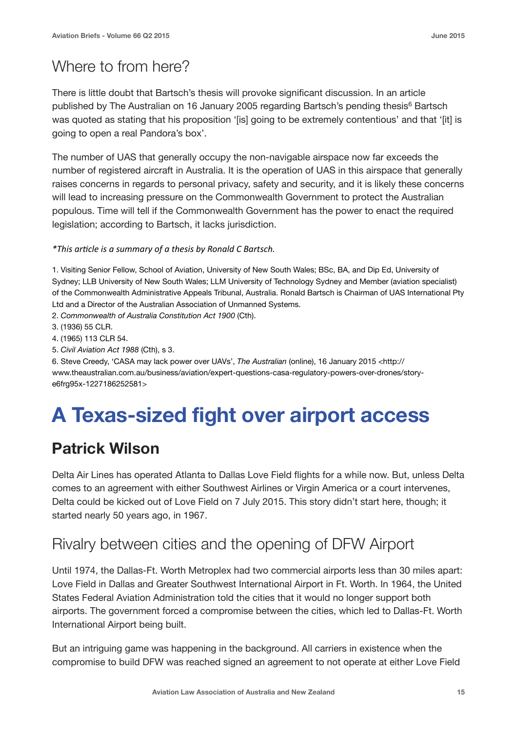### Where to from here?

There is little doubt that Bartsch's thesis will provoke significant discussion. In an article published by The Australian on 16 January 2005 regarding Bartsch's pending thesis<sup>6</sup> Bartsch was quoted as stating that his proposition '[is] going to be extremely contentious' and that '[it] is going to open a real Pandora's box'.

The number of UAS that generally occupy the non-navigable airspace now far exceeds the number of registered aircraft in Australia. It is the operation of UAS in this airspace that generally raises concerns in regards to personal privacy, safety and security, and it is likely these concerns will lead to increasing pressure on the Commonwealth Government to protect the Australian populous. Time will tell if the Commonwealth Government has the power to enact the required legislation; according to Bartsch, it lacks jurisdiction.

#### *\*This article is a summary of a thesis by Ronald C Bartsch.*

1. Visiting Senior Fellow, School of Aviation, University of New South Wales; BSc, BA, and Dip Ed, University of Sydney; LLB University of New South Wales; LLM University of Technology Sydney and Member (aviation specialist) of the Commonwealth Administrative Appeals Tribunal, Australia. Ronald Bartsch is Chairman of UAS International Pty Ltd and a Director of the Australian Association of Unmanned Systems.

- 2. *Commonwealth of Australia Constitution Act 1900* (Cth).
- 3. (1936) 55 CLR.
- 4. (1965) 113 CLR 54.
- 5. *Civil Aviation Act 1988* (Cth), s 3.

6. Steve Creedy, 'CASA may lack power over UAVs', *The Australian* (online), 16 January 2015 <http:// www.theaustralian.com.au/business/aviation/expert-questions-casa-regulatory-powers-over-drones/storye6frg95x-1227186252581>

## **A Texas-sized fight over airport access**

### **Patrick Wilson**

Delta Air Lines has operated Atlanta to Dallas Love Field flights for a while now. But, unless Delta comes to an agreement with either Southwest Airlines or Virgin America or a court intervenes, Delta could be kicked out of Love Field on 7 July 2015. This story didn't start here, though; it started nearly 50 years ago, in 1967.

#### Rivalry between cities and the opening of DFW Airport

Until 1974, the Dallas-Ft. Worth Metroplex had two commercial airports less than 30 miles apart: Love Field in Dallas and Greater Southwest International Airport in Ft. Worth. In 1964, the United States Federal Aviation Administration told the cities that it would no longer support both airports. The government forced a compromise between the cities, which led to Dallas-Ft. Worth International Airport being built.

But an intriguing game was happening in the background. All carriers in existence when the compromise to build DFW was reached signed an agreement to not operate at either Love Field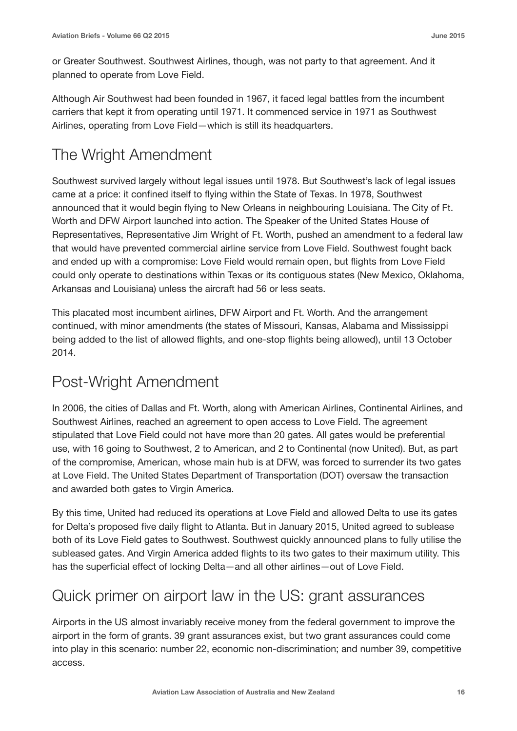or Greater Southwest. Southwest Airlines, though, was not party to that agreement. And it planned to operate from Love Field.

Although Air Southwest had been founded in 1967, it faced legal battles from the incumbent carriers that kept it from operating until 1971. It commenced service in 1971 as Southwest Airlines, operating from Love Field—which is still its headquarters.

### The Wright Amendment

Southwest survived largely without legal issues until 1978. But Southwest's lack of legal issues came at a price: it confined itself to flying within the State of Texas. In 1978, Southwest announced that it would begin flying to New Orleans in neighbouring Louisiana. The City of Ft. Worth and DFW Airport launched into action. The Speaker of the United States House of Representatives, Representative Jim Wright of Ft. Worth, pushed an amendment to a federal law that would have prevented commercial airline service from Love Field. Southwest fought back and ended up with a compromise: Love Field would remain open, but flights from Love Field could only operate to destinations within Texas or its contiguous states (New Mexico, Oklahoma, Arkansas and Louisiana) unless the aircraft had 56 or less seats.

This placated most incumbent airlines, DFW Airport and Ft. Worth. And the arrangement continued, with minor amendments (the states of Missouri, Kansas, Alabama and Mississippi being added to the list of allowed flights, and one-stop flights being allowed), until 13 October 2014.

### Post-Wright Amendment

In 2006, the cities of Dallas and Ft. Worth, along with American Airlines, Continental Airlines, and Southwest Airlines, reached an agreement to open access to Love Field. The agreement stipulated that Love Field could not have more than 20 gates. All gates would be preferential use, with 16 going to Southwest, 2 to American, and 2 to Continental (now United). But, as part of the compromise, American, whose main hub is at DFW, was forced to surrender its two gates at Love Field. The United States Department of Transportation (DOT) oversaw the transaction and awarded both gates to Virgin America.

By this time, United had reduced its operations at Love Field and allowed Delta to use its gates for Delta's proposed five daily flight to Atlanta. But in January 2015, United agreed to sublease both of its Love Field gates to Southwest. Southwest quickly announced plans to fully utilise the subleased gates. And Virgin America added flights to its two gates to their maximum utility. This has the superficial effect of locking Delta—and all other airlines—out of Love Field.

### Quick primer on airport law in the US: grant assurances

Airports in the US almost invariably receive money from the federal government to improve the airport in the form of grants. 39 grant assurances exist, but two grant assurances could come into play in this scenario: number 22, economic non-discrimination; and number 39, competitive access.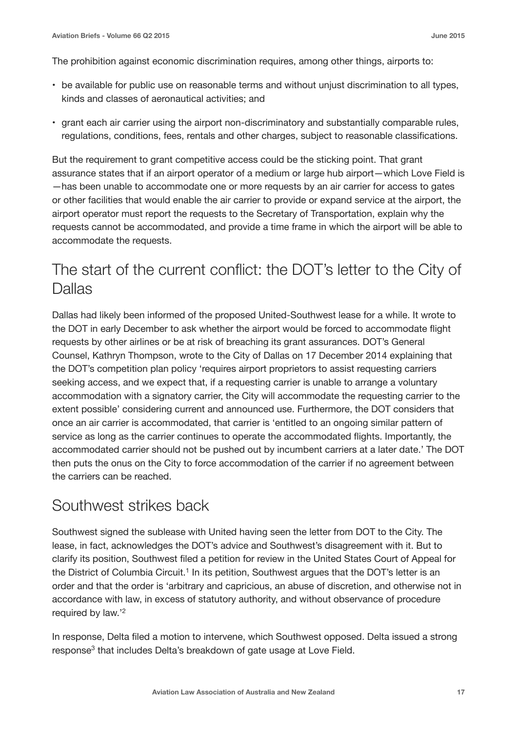The prohibition against economic discrimination requires, among other things, airports to:

- be available for public use on reasonable terms and without unjust discrimination to all types, kinds and classes of aeronautical activities; and
- grant each air carrier using the airport non-discriminatory and substantially comparable rules, regulations, conditions, fees, rentals and other charges, subject to reasonable classifications.

But the requirement to grant competitive access could be the sticking point. That grant assurance states that if an airport operator of a medium or large hub airport—which Love Field is —has been unable to accommodate one or more requests by an air carrier for access to gates or other facilities that would enable the air carrier to provide or expand service at the airport, the airport operator must report the requests to the Secretary of Transportation, explain why the requests cannot be accommodated, and provide a time frame in which the airport will be able to accommodate the requests.

#### The start of the current conflict: the DOT's letter to the City of Dallas

Dallas had likely been informed of the proposed United-Southwest lease for a while. It wrote to the DOT in early December to ask whether the airport would be forced to accommodate flight requests by other airlines or be at risk of breaching its grant assurances. DOT's General Counsel, Kathryn Thompson, wrote to the City of Dallas on 17 December 2014 explaining that the DOT's competition plan policy 'requires airport proprietors to assist requesting carriers seeking access, and we expect that, if a requesting carrier is unable to arrange a voluntary accommodation with a signatory carrier, the City will accommodate the requesting carrier to the extent possible' considering current and announced use. Furthermore, the DOT considers that once an air carrier is accommodated, that carrier is 'entitled to an ongoing similar pattern of service as long as the carrier continues to operate the accommodated flights. Importantly, the accommodated carrier should not be pushed out by incumbent carriers at a later date.' The DOT then puts the onus on the City to force accommodation of the carrier if no agreement between the carriers can be reached.

#### Southwest strikes back

Southwest signed the sublease with United having seen the letter from DOT to the City. The lease, in fact, acknowledges the DOT's advice and Southwest's disagreement with it. But to clarify its position, Southwest filed a petition for review in the United States Court of Appeal for the District of Columbia Circuit.1 In its petition, Southwest argues that the DOT's letter is an order and that the order is 'arbitrary and capricious, an abuse of discretion, and otherwise not in accordance with law, in excess of statutory authority, and without observance of procedure required by law.'2

In response, Delta filed a motion to intervene, which Southwest opposed. Delta issued a strong response<sup>3</sup> that includes Delta's breakdown of gate usage at Love Field.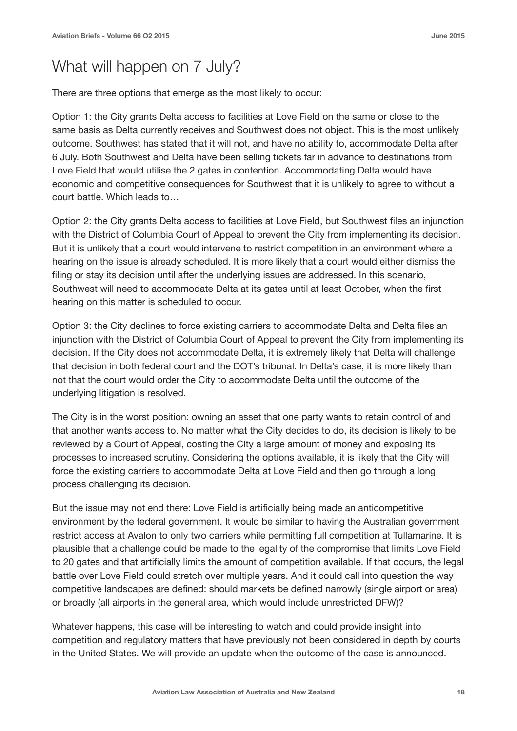#### What will happen on 7 July?

There are three options that emerge as the most likely to occur:

Option 1: the City grants Delta access to facilities at Love Field on the same or close to the same basis as Delta currently receives and Southwest does not object. This is the most unlikely outcome. Southwest has stated that it will not, and have no ability to, accommodate Delta after 6 July. Both Southwest and Delta have been selling tickets far in advance to destinations from Love Field that would utilise the 2 gates in contention. Accommodating Delta would have economic and competitive consequences for Southwest that it is unlikely to agree to without a court battle. Which leads to…

Option 2: the City grants Delta access to facilities at Love Field, but Southwest files an injunction with the District of Columbia Court of Appeal to prevent the City from implementing its decision. But it is unlikely that a court would intervene to restrict competition in an environment where a hearing on the issue is already scheduled. It is more likely that a court would either dismiss the filing or stay its decision until after the underlying issues are addressed. In this scenario, Southwest will need to accommodate Delta at its gates until at least October, when the first hearing on this matter is scheduled to occur.

Option 3: the City declines to force existing carriers to accommodate Delta and Delta files an injunction with the District of Columbia Court of Appeal to prevent the City from implementing its decision. If the City does not accommodate Delta, it is extremely likely that Delta will challenge that decision in both federal court and the DOT's tribunal. In Delta's case, it is more likely than not that the court would order the City to accommodate Delta until the outcome of the underlying litigation is resolved.

The City is in the worst position: owning an asset that one party wants to retain control of and that another wants access to. No matter what the City decides to do, its decision is likely to be reviewed by a Court of Appeal, costing the City a large amount of money and exposing its processes to increased scrutiny. Considering the options available, it is likely that the City will force the existing carriers to accommodate Delta at Love Field and then go through a long process challenging its decision.

But the issue may not end there: Love Field is artificially being made an anticompetitive environment by the federal government. It would be similar to having the Australian government restrict access at Avalon to only two carriers while permitting full competition at Tullamarine. It is plausible that a challenge could be made to the legality of the compromise that limits Love Field to 20 gates and that artificially limits the amount of competition available. If that occurs, the legal battle over Love Field could stretch over multiple years. And it could call into question the way competitive landscapes are defined: should markets be defined narrowly (single airport or area) or broadly (all airports in the general area, which would include unrestricted DFW)?

Whatever happens, this case will be interesting to watch and could provide insight into competition and regulatory matters that have previously not been considered in depth by courts in the United States. We will provide an update when the outcome of the case is announced.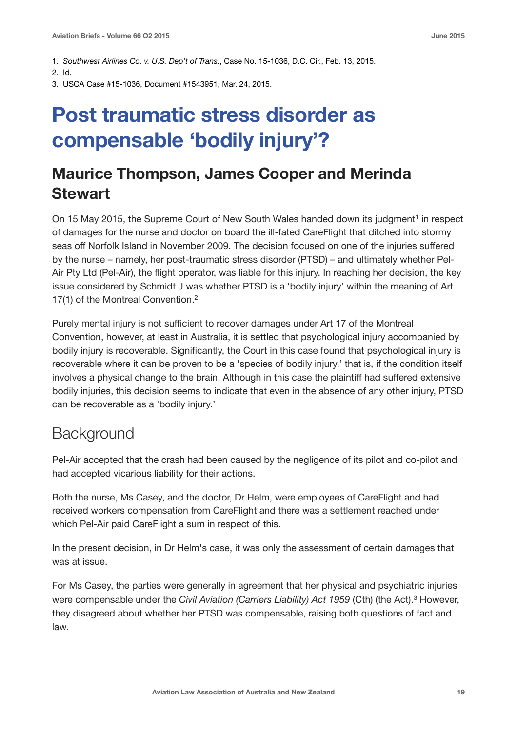- 1. *Southwest Airlines Co. v. U.S. Dep't of Trans.*, Case No. 15-1036, D.C. Cir., Feb. 13, 2015.
- 2. Id.
- 3. USCA Case #15-1036, Document #1543951, Mar. 24, 2015.

## **Post traumatic stress disorder as compensable 'bodily injury'?**

#### **Maurice Thompson, James Cooper and Merinda Stewart**

On 15 May 2015, the Supreme Court of New South Wales handed down its judgment<sup>1</sup> in respect of damages for the nurse and doctor on board the ill-fated CareFlight that ditched into stormy seas off Norfolk Island in November 2009. The decision focused on one of the injuries suffered by the nurse – namely, her post-traumatic stress disorder (PTSD) – and ultimately whether Pel-Air Pty Ltd (Pel-Air), the flight operator, was liable for this injury. In reaching her decision, the key issue considered by Schmidt J was whether PTSD is a 'bodily injury' within the meaning of Art 17(1) of the Montreal Convention.2

Purely mental injury is not sufficient to recover damages under Art 17 of the Montreal Convention, however, at least in Australia, it is settled that psychological injury accompanied by bodily injury is recoverable. Significantly, the Court in this case found that psychological injury is recoverable where it can be proven to be a 'species of bodily injury,' that is, if the condition itself involves a physical change to the brain. Although in this case the plaintiff had suffered extensive bodily injuries, this decision seems to indicate that even in the absence of any other injury, PTSD can be recoverable as a 'bodily injury.'

#### **Background**

Pel-Air accepted that the crash had been caused by the negligence of its pilot and co-pilot and had accepted vicarious liability for their actions.

Both the nurse, Ms Casey, and the doctor, Dr Helm, were employees of CareFlight and had received workers compensation from CareFlight and there was a settlement reached under which Pel-Air paid CareFlight a sum in respect of this.

In the present decision, in Dr Helm's case, it was only the assessment of certain damages that was at issue.

For Ms Casey, the parties were generally in agreement that her physical and psychiatric injuries were compensable under the *Civil Aviation (Carriers Liability) Act 1959* (Cth) (the Act).3 However, they disagreed about whether her PTSD was compensable, raising both questions of fact and law.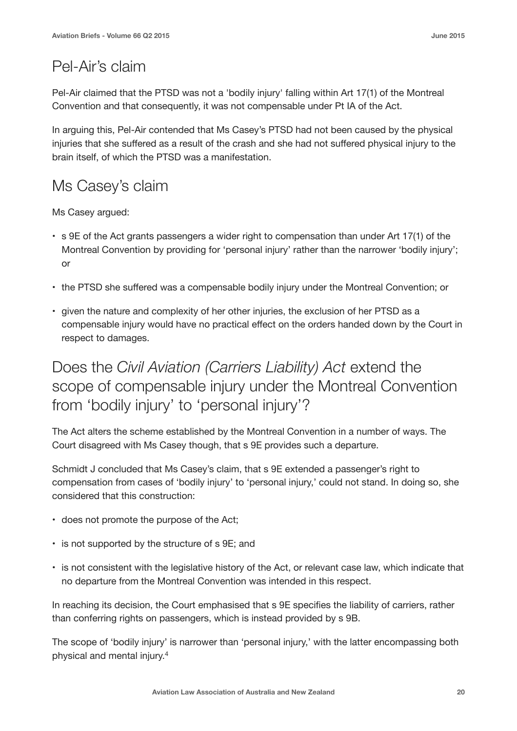### Pel-Air's claim

Pel-Air claimed that the PTSD was not a 'bodily injury' falling within Art 17(1) of the Montreal Convention and that consequently, it was not compensable under Pt IA of the Act.

In arguing this, Pel-Air contended that Ms Casey's PTSD had not been caused by the physical injuries that she suffered as a result of the crash and she had not suffered physical injury to the brain itself, of which the PTSD was a manifestation.

### Ms Casey's claim

Ms Casey argued:

- s 9E of the Act grants passengers a wider right to compensation than under Art 17(1) of the Montreal Convention by providing for 'personal injury' rather than the narrower 'bodily injury'; or
- the PTSD she suffered was a compensable bodily injury under the Montreal Convention; or
- given the nature and complexity of her other injuries, the exclusion of her PTSD as a compensable injury would have no practical effect on the orders handed down by the Court in respect to damages.

### Does the *Civil Aviation (Carriers Liability) Act* extend the scope of compensable injury under the Montreal Convention from 'bodily injury' to 'personal injury'?

The Act alters the scheme established by the Montreal Convention in a number of ways. The Court disagreed with Ms Casey though, that s 9E provides such a departure.

Schmidt J concluded that Ms Casey's claim, that s 9E extended a passenger's right to compensation from cases of 'bodily injury' to 'personal injury,' could not stand. In doing so, she considered that this construction:

- does not promote the purpose of the Act;
- is not supported by the structure of s 9E; and
- is not consistent with the legislative history of the Act, or relevant case law, which indicate that no departure from the Montreal Convention was intended in this respect.

In reaching its decision, the Court emphasised that s 9E specifies the liability of carriers, rather than conferring rights on passengers, which is instead provided by s 9B.

The scope of 'bodily injury' is narrower than 'personal injury,' with the latter encompassing both physical and mental injury.4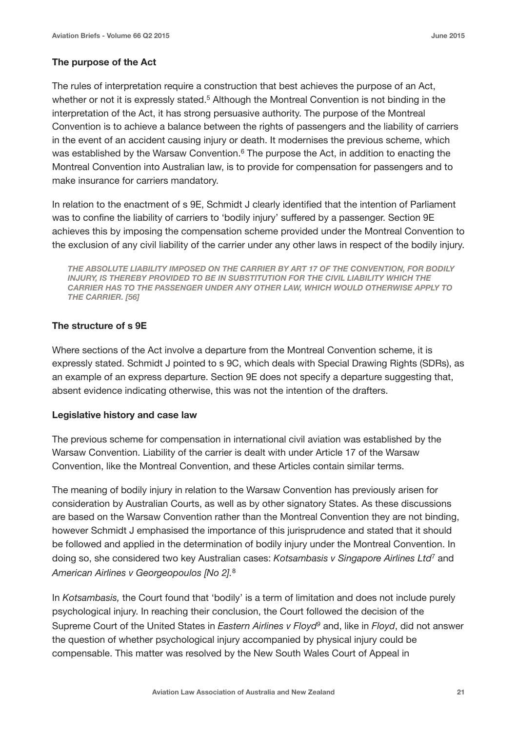#### **The purpose of the Act**

The rules of interpretation require a construction that best achieves the purpose of an Act, whether or not it is expressly stated.<sup>5</sup> Although the Montreal Convention is not binding in the interpretation of the Act, it has strong persuasive authority. The purpose of the Montreal Convention is to achieve a balance between the rights of passengers and the liability of carriers in the event of an accident causing injury or death. It modernises the previous scheme, which was established by the Warsaw Convention.<sup>6</sup> The purpose the Act, in addition to enacting the Montreal Convention into Australian law, is to provide for compensation for passengers and to make insurance for carriers mandatory.

In relation to the enactment of s 9E, Schmidt J clearly identified that the intention of Parliament was to confine the liability of carriers to 'bodily injury' suffered by a passenger. Section 9E achieves this by imposing the compensation scheme provided under the Montreal Convention to the exclusion of any civil liability of the carrier under any other laws in respect of the bodily injury.

*THE ABSOLUTE LIABILITY IMPOSED ON THE CARRIER BY ART 17 OF THE CONVENTION, FOR BODILY INJURY, IS THEREBY PROVIDED TO BE IN SUBSTITUTION FOR THE CIVIL LIABILITY WHICH THE CARRIER HAS TO THE PASSENGER UNDER ANY OTHER LAW, WHICH WOULD OTHERWISE APPLY TO THE CARRIER. [56]*

#### **The structure of s 9E**

Where sections of the Act involve a departure from the Montreal Convention scheme, it is expressly stated. Schmidt J pointed to s 9C, which deals with Special Drawing Rights (SDRs), as an example of an express departure. Section 9E does not specify a departure suggesting that, absent evidence indicating otherwise, this was not the intention of the drafters.

#### **Legislative history and case law**

The previous scheme for compensation in international civil aviation was established by the Warsaw Convention. Liability of the carrier is dealt with under Article 17 of the Warsaw Convention, like the Montreal Convention, and these Articles contain similar terms.

The meaning of bodily injury in relation to the Warsaw Convention has previously arisen for consideration by Australian Courts, as well as by other signatory States. As these discussions are based on the Warsaw Convention rather than the Montreal Convention they are not binding, however Schmidt J emphasised the importance of this jurisprudence and stated that it should be followed and applied in the determination of bodily injury under the Montreal Convention. In doing so, she considered two key Australian cases: *Kotsambasis v Singapore Airlines Ltd*<sup>7</sup> and *American Airlines v Georgeopoulos [No 2].*<sup>8</sup>

In *Kotsambasis,* the Court found that 'bodily' is a term of limitation and does not include purely psychological injury. In reaching their conclusion, the Court followed the decision of the Supreme Court of the United States in *Eastern Airlines v Floyd9* and, like in *Floyd*, did not answer the question of whether psychological injury accompanied by physical injury could be compensable. This matter was resolved by the New South Wales Court of Appeal in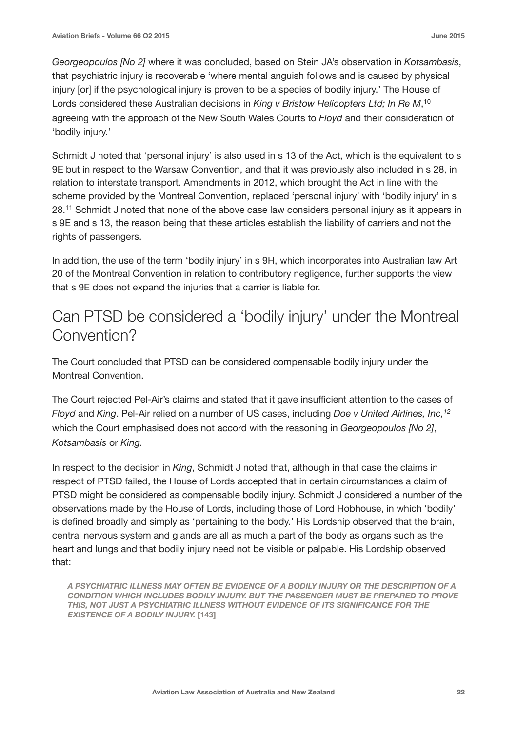*Georgeopoulos [No 2]* where it was concluded, based on Stein JA's observation in *Kotsambasis*, that psychiatric injury is recoverable 'where mental anguish follows and is caused by physical injury [or] if the psychological injury is proven to be a species of bodily injury.' The House of Lords considered these Australian decisions in *King v Bristow Helicopters Ltd; In Re M*, 10 agreeing with the approach of the New South Wales Courts to *Floyd* and their consideration of 'bodily injury.'

Schmidt J noted that 'personal injury' is also used in s 13 of the Act, which is the equivalent to s 9E but in respect to the Warsaw Convention, and that it was previously also included in s 28, in relation to interstate transport. Amendments in 2012, which brought the Act in line with the scheme provided by the Montreal Convention, replaced 'personal injury' with 'bodily injury' in s 28.11 Schmidt J noted that none of the above case law considers personal injury as it appears in s 9E and s 13, the reason being that these articles establish the liability of carriers and not the rights of passengers.

In addition, the use of the term 'bodily injury' in s 9H, which incorporates into Australian law Art 20 of the Montreal Convention in relation to contributory negligence, further supports the view that s 9E does not expand the injuries that a carrier is liable for.

### Can PTSD be considered a 'bodily injury' under the Montreal Convention?

The Court concluded that PTSD can be considered compensable bodily injury under the Montreal Convention.

The Court rejected Pel-Air's claims and stated that it gave insufficient attention to the cases of *Floyd* and *King*. Pel-Air relied on a number of US cases, including *Doe v United Airlines, Inc,12* which the Court emphasised does not accord with the reasoning in *Georgeopoulos [No 2]*, *Kotsambasis* or *King.* 

In respect to the decision in *King*, Schmidt J noted that, although in that case the claims in respect of PTSD failed, the House of Lords accepted that in certain circumstances a claim of PTSD might be considered as compensable bodily injury. Schmidt J considered a number of the observations made by the House of Lords, including those of Lord Hobhouse, in which 'bodily' is defined broadly and simply as 'pertaining to the body.' His Lordship observed that the brain, central nervous system and glands are all as much a part of the body as organs such as the heart and lungs and that bodily injury need not be visible or palpable. His Lordship observed that:

*A PSYCHIATRIC ILLNESS MAY OFTEN BE EVIDENCE OF A BODILY INJURY OR THE DESCRIPTION OF A CONDITION WHICH INCLUDES BODILY INJURY. BUT THE PASSENGER MUST BE PREPARED TO PROVE THIS, NOT JUST A PSYCHIATRIC ILLNESS WITHOUT EVIDENCE OF ITS SIGNIFICANCE FOR THE EXISTENCE OF A BODILY INJURY.* **[143]**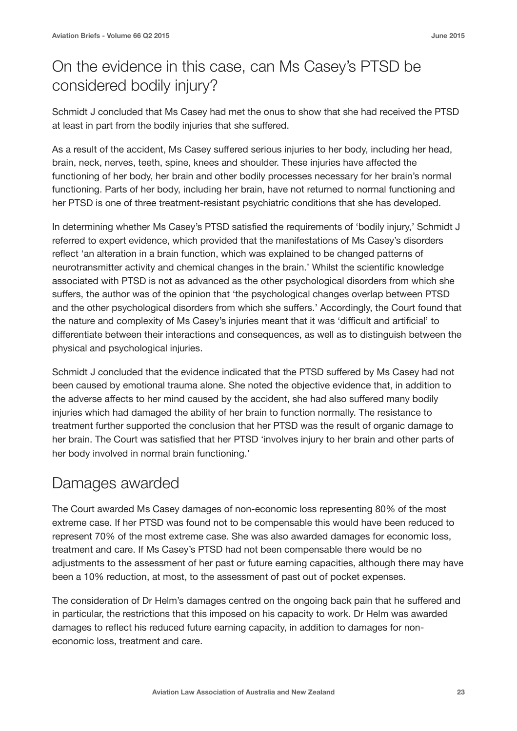### On the evidence in this case, can Ms Casey's PTSD be considered bodily injury?

Schmidt J concluded that Ms Casey had met the onus to show that she had received the PTSD at least in part from the bodily injuries that she suffered.

As a result of the accident, Ms Casey suffered serious injuries to her body, including her head, brain, neck, nerves, teeth, spine, knees and shoulder. These injuries have affected the functioning of her body, her brain and other bodily processes necessary for her brain's normal functioning. Parts of her body, including her brain, have not returned to normal functioning and her PTSD is one of three treatment-resistant psychiatric conditions that she has developed.

In determining whether Ms Casey's PTSD satisfied the requirements of 'bodily injury,' Schmidt J referred to expert evidence, which provided that the manifestations of Ms Casey's disorders reflect 'an alteration in a brain function, which was explained to be changed patterns of neurotransmitter activity and chemical changes in the brain.' Whilst the scientific knowledge associated with PTSD is not as advanced as the other psychological disorders from which she suffers, the author was of the opinion that 'the psychological changes overlap between PTSD and the other psychological disorders from which she suffers.' Accordingly, the Court found that the nature and complexity of Ms Casey's injuries meant that it was 'difficult and artificial' to differentiate between their interactions and consequences, as well as to distinguish between the physical and psychological injuries.

Schmidt J concluded that the evidence indicated that the PTSD suffered by Ms Casey had not been caused by emotional trauma alone. She noted the objective evidence that, in addition to the adverse affects to her mind caused by the accident, she had also suffered many bodily injuries which had damaged the ability of her brain to function normally. The resistance to treatment further supported the conclusion that her PTSD was the result of organic damage to her brain. The Court was satisfied that her PTSD 'involves injury to her brain and other parts of her body involved in normal brain functioning.'

#### Damages awarded

The Court awarded Ms Casey damages of non-economic loss representing 80% of the most extreme case. If her PTSD was found not to be compensable this would have been reduced to represent 70% of the most extreme case. She was also awarded damages for economic loss, treatment and care. If Ms Casey's PTSD had not been compensable there would be no adjustments to the assessment of her past or future earning capacities, although there may have been a 10% reduction, at most, to the assessment of past out of pocket expenses.

The consideration of Dr Helm's damages centred on the ongoing back pain that he suffered and in particular, the restrictions that this imposed on his capacity to work. Dr Helm was awarded damages to reflect his reduced future earning capacity, in addition to damages for noneconomic loss, treatment and care.